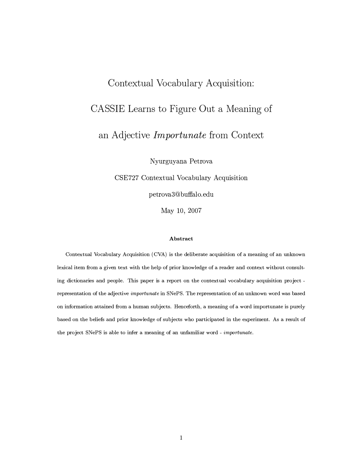# Contextual Vocabulary Acquisition: CASSIE Learns to Figure Out a Meaning of

## an Adjective Importunate from Context

Nyurguyana Petrova

CSE727 Contextual Vocabulary Acquisition

petrova3@buffalo.edu

May 10, 2007

#### Abstract

Contextual Vocabulary Acquisition (CVA) is the deliberate acquisition of a meaning of an unknown lexical item from a given text with the help of prior knowledge of a reader and context without consulting dictionaries and people. This paper is a report on the contextual vocabulary acquisition project representation of the adjective *importunate* in SNePS. The representation of an unknown word was based on information attained from a human subjects. Henceforth, a meaning of a word importunate is purely based on the beliefs and prior knowledge of subjects who participated in the experiment. As a result of the project SNePS is able to infer a meaning of an unfamiliar word - importunate.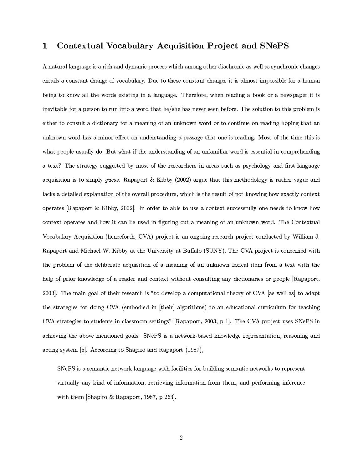#### Contextual Vocabulary Acquisition Project and SNePS  $\mathbf 1$

A natural language is a rich and dynamic process which among other diachronic as well as synchronic changes entails a constant change of vocabulary. Due to these constant changes it is almost impossible for a human being to know all the words existing in a language. Therefore, when reading a book or a newspaper it is inevitable for a person to run into a word that he/she has never seen before. The solution to this problem is either to consult a dictionary for a meaning of an unknown word or to continue on reading hoping that an unknown word has a minor effect on understanding a passage that one is reading. Most of the time this is what people usually do. But what if the understanding of an unfamiliar word is essential in comprehending a text? The strategy suggested by most of the researchers in areas such as psychology and first-language acquisition is to simply *guess*. Rapaport & Kibby  $(2002)$  argue that this methodology is rather vague and lacks a detailed explanation of the overall procedure, which is the result of not knowing how exactly context operates [Rapaport & Kibby, 2002]. In order to able to use a context successfully one needs to know how context operates and how it can be used in figuring out a meaning of an unknown word. The Contextual Vocabulary Acquisition (henceforth, CVA) project is an ongoing research project conducted by William J. Rapaport and Michael W. Kibby at the University at Buffalo (SUNY). The CVA project is concerned with the problem of the deliberate acquisition of a meaning of an unknown lexical item from a text with the help of prior knowledge of a reader and context without consulting any dictionaries or people [Rapaport, 2003]. The main goal of their research is "to develop a computational theory of CVA [as well as] to adapt the strategies for doing CVA (embodied in |their| algorithms) to an educational curriculum for teaching CVA strategies to students in classroom settings" [Rapaport, 2003, p 1]. The CVA project uses SNePS in achieving the above mentioned goals. SNePS is a network-based knowledge representation, reasoning and acting system [5]. According to Shapiro and Rapaport (1987).

SNePS is a semantic network language with facilities for building semantic networks to represent virtually any kind of information, retrieving information from them, and performing inference with them [Shapiro & Rapaport, 1987, p 263].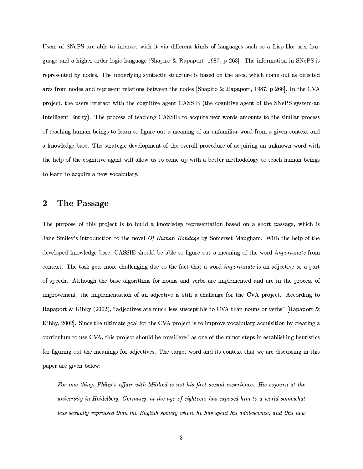Users of SNePS are able to interact with it via different kinds of languages such as a Lisp-like user language and a higher-order logic language Shapiro & Rapaport, 1987, p 263. The information in SNePS is represented by nodes. The underlying syntactic structure is based on the arcs, which come out as directed arcs from nodes and represent relations between the nodes [Shapiro & Rapaport, 1987, p 266]. In the CVA project, the users interact with the cognitive agent CASSIE (the cognitive agent of the SNePS system an Intelligent Entity). The process of teaching CASSIE to acquire new words amounts to the similar process of teaching human beings to learn to figure out a meaning of an unfamiliar word from a given context and a knowledge base. The strategic development of the overall procedure of acquiring an unknown word with the help of the cognitive agent will allow us to come up with a better methodology to teach human beings to learn to acquire a new vocabulary.

#### The Passage  $\bf{2}$

The purpose of this project is to build a knowledge representation based on a short passage, which is Jane Smiley's introduction to the novel *Of Human Bondage* by Somerset Maugham. With the help of the developed knowledge base, CASSIE should be able to figure out a meaning of the word *importunate* from context. The task gets more challenging due to the fact that a word *importunate* is an adjective as a part of speech. Although the base algorithms for nouns and verbs are implemented and are in the process of improvement, the implementation of an adjective is still a challenge for the CVA project. According to Rapaport & Kibby (2002), "adjectives are much less susceptible to CVA than nouns or verbs" [Rapaport & Kibby, 2002. Since the ultimate goal for the CVA project is to improve vocabulary acquisition by creating a curriculum to use CVA, this project should be considered as one of the minor steps in establishing heuristics for figuring out the meanings for adjectives. The target word and its context that we are discussing in this paper are given below:

For one thing, Philip's affair with Mildred is not his first sexual experience. His sojourn at the university in Heidelberg, Germany, at the age of eighteen, has exposed him to a world somewhat less sexually repressed than the English society where he has spent his adolescence, and this new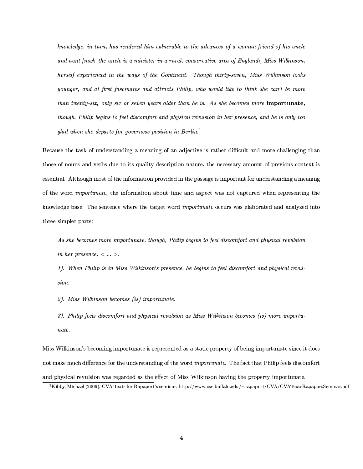knowledge, in turn, has rendered him vulnerable to the advances of a woman friend of his uncle and aunt *[mwk-the uncle is a minister in a rural, conservative area of England]*, Miss Wilkinson, herself experienced in the ways of the Continent. Though thirty-seven, Miss Wilkinson looks younger, and at first fascinates and attracts Philip, who would like to think she can't be more than twenty-six, only six or seven years older than he is. As she becomes more importunate, though, Philip begins to feel discomfort and physical revulsion in her presence, and he is only too glad when she departs for governess position in Berlin.

Because the task of understanding a meaning of an adjective is rather difficult and more challenging than those of nouns and verbs due to its quality description nature, the necessary amount of previous context is essential. Although most of the information provided in the passage is important for understanding a meaning of the word *importunate*, the information about time and aspect was not captured when representing the knowledge base. The sentence where the target word *importunate* occurs was elaborated and analyzed into three simpler parts:

As she becomes more importunate, though, Philip begins to feel discomfort and physical revulsion in her presence,  $\langle \dots \rangle$ .

1). When Philip is in Miss Wilkinson's presence, he begins to feel discomfort and physical revulsion.

2). Miss Wilkinson becomes (is) importunate.

3). Philip feels discomfort and physical revulsion as Miss Wilkinson becomes (is) more importunate.

Miss Wilkinson's becoming importunate is represented as a static property of being importunate since it does not make much difference for the understanding of the word *importunate*. The fact that Philip feels discomfort and physical revulsion was regarded as the effect of Miss Wilkinson having the property importunate.

 $^1$ Kibby, Michael (2006), CVA Texts for Rapaport's seminar, http://www.cse.buffalo.edu/~rapaport/CVA/CVATextsRapaportSeminar.pdf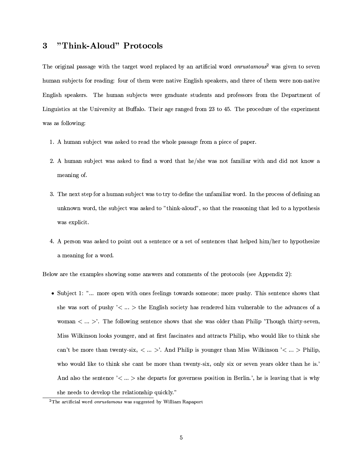#### "Think-Aloud" Protocols 3

The original passage with the target word replaced by an artificial word onrustamous<sup>2</sup> was given to seven human subjects for reading: four of them were native English speakers, and three of them were non-native English speakers. The human subjects were graduate students and professors from the Department of Linguistics at the University at Buffalo. Their age ranged from 23 to 45. The procedure of the experiment was as following:

- 1. A human subject was asked to read the whole passage from a piece of paper.
- 2. A human subject was asked to find a word that he/she was not familiar with and did not know a meaning of.
- 3. The next step for a human subject was to try to define the unfamiliar word. In the process of defining an unknown word, the subject was asked to "think-aloud", so that the reasoning that led to a hypothesis was explicit.
- 4. A person was asked to point out a sentence or a set of sentences that helped him/her to hypothesize a meaning for a word.

Below are the examples showing some answers and comments of the protocols (see Appendix 2):

• Subject 1: "... more open with ones feelings towards someone; more pushy. This sentence shows that she was sort of pushy  $\leq ... >$  the English society has rendered him vulnerable to the advances of a woman  $\langle \dots \rangle$ . The following sentence shows that she was older than Philip 'Though thirty-seven, Miss Wilkinson looks younger, and at first fascinates and attracts Philip, who would like to think she can't be more than twenty-six,  $\langle ... \rangle$ . And Philip is younger than Miss Wilkinson  $\langle ... \rangle$  Philip, who would like to think she cant be more than twenty-six, only six or seven years older than he is. And also the sentence  $\leq ... >$  she departs for governess position in Berlin.', he is leaving that is why she needs to develop the relationship quickly."

 $2$ The artificial word *onrustamous* was suggested by William Rapaport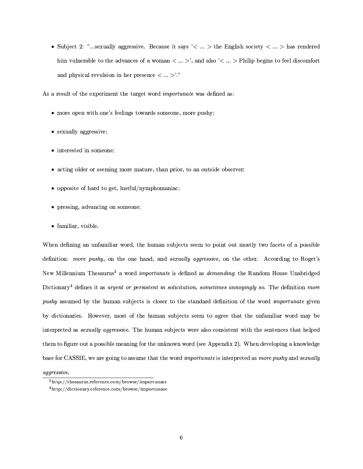• Subject 2: "...sexually aggressive. Because it says  $\leq \ldots >$  the English society  $\leq \ldots >$  has rendered him vulnerable to the advances of a woman  $\langle \dots \rangle$ , and also  $\langle \dots \rangle$  Philip begins to feel discomfort and physical revulsion in her presence  $\langle \dots \rangle$ ."

As a result of the experiment the target word importunate was defined as:

- more open with one's feelings towards someone, more pushy;
- sexually aggressive;
- interested in someone;
- acting older or seeming more mature, than prior, to an outside observer;
- opposite of hard to get, lustful/nymphomaniac;
- pressing, advancing on someone;
- · familiar, visible.

When defining an unfamiliar word, the human subjects seem to point out mostly two facets of a possible definition: more pushy, on the one hand, and sexually aggressive, on the other. According to Roget's New Millennium Thesaurus<sup>3</sup> a word *importunate* is defined as *demanding*; the Random House Unabridged Dictionary<sup>4</sup> defines it as urgent or persistent in solicitation, sometimes annoyingly so. The definition more *pushy* assumed by the human subjects is closer to the standard definition of the word *importunate* given by dictionaries. However, most of the human subjects seem to agree that the unfamiliar word may be interpreted as *sexually aggressive*. The human subjects were also consistent with the sentences that helped them to figure out a possible meaning for the unknown word (see Appendix 2). When developing a knowledge base for CASSIE, we are going to assume that the word *importunate* is interpreted as more pushy and sexually

*aggressive.* 

 $3$ http://thesaurus.reference.com/browse/importunate

<sup>&</sup>lt;sup>4</sup>http://dictionary.reference.com/browse/importunate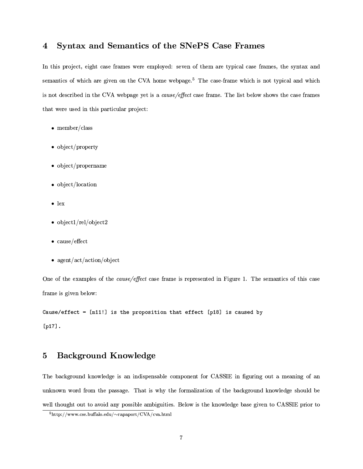#### Syntax and Semantics of the SNePS Case Frames  $\boldsymbol{4}$

In this project, eight case frames were employed: seven of them are typical case frames, the syntax and semantics of which are given on the CVA home webpage.<sup>5</sup> The case-frame which is not typical and which is not described in the CVA webpage yet is a cause/effect case frame. The list below shows the case frames that were used in this particular project:

- $\bullet$  member/class
- $\bullet$  object/property
- · object/propername
- object/location
- $\bullet$  lex
- $\bullet$  object1/rel/object2
- $\bullet$  cause/effect
- $agent/act/action/object$

One of the examples of the cause/effect case frame is represented in Figure 1. The semantics of this case frame is given below:

Cause/effect = [m11!] is the proposition that effect [p18] is caused by [ $p17$ ].

#### **Background Knowledge**  $\overline{5}$

The background knowledge is an indispensable component for CASSIE in figuring out a meaning of an unknown word from the passage. That is why the formalization of the background knowledge should be well thought out to avoid any possible ambiguities. Below is the knowledge base given to CASSIE prior to

 $5$ http://www.cse.buffalo.edu/~rapaport/CVA/cva.html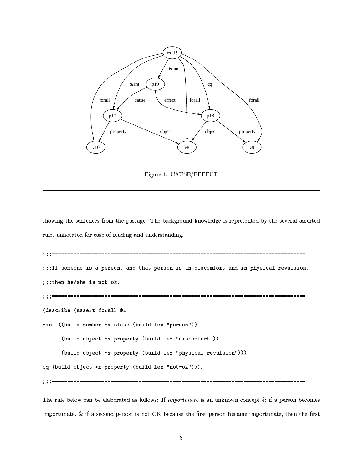

Figure 1: CAUSE/EFFECT

showing the sentences from the passage. The background knowledge is represented by the several asserted rules annotated for ease of reading and understanding.

```
;;;If someone is a person, and that person is in discomfort and in physical revulsion,
;;;then he/she is not ok.
;;;===============
                        (describe (assert forall $x
&ant ((build member *x class (build lex "person"))
     (build object *x property (build lex "discomfort"))
     (build object *x property (build lex "physical revulsion")))
cq (build object *x property (build lex "not-ok"))))
                                         ===========================
;;;=================
```
The rule below can be elaborated as follows: If *importunate* is an unknown concept & if a person becomes importunate,  $\&$  if a second person is not OK because the first person became importunate, then the first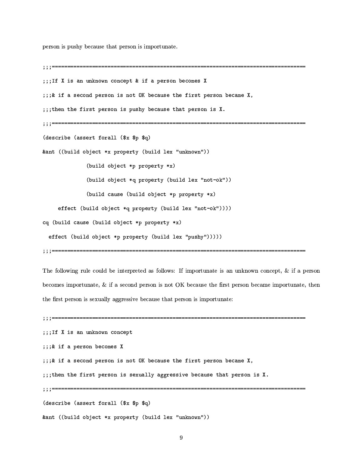```
-
-

...T£ V :a an ::n|-na:nn aanaan± 0 :£ a maxaan haaamaa V
...0. 1£ a second papear is nat NV bacawas the finat papear bacape V
...baa bha finat manaan ia muaho haaawaa that manaan ia V
-
-

 =.13*>3  .61 261-

5/ 

74 -
>*= 2>4?/12/.61@ >*
=
 77.2-
7
-

          \lambda and \lambda and \lambda and \lambda and \lambda and \lambda and \lambda and \lambda and \lambda and \lambda>*
= 2>
 0/142/.61@ >*
= 7.26"!2
 
-

          >*
= 6  >*
= 2>5/ /12/.1@ 
   the set of the set of the set of the set of the set of the set of the set of the set of the set of the set of t

 >*
=+6 >*
= 2>/ /142/.61@ 
  >*
= 2>/ /12/.1@ >*
6=
 /-@
-
-
-

-
-
```
s and the same of the same of the same of the same of the same of the same of the same of the same of the same of the same of the same of the same of the same of the same of the same of the same of the same of the same of ejI&PZJVWIMhK\_VXjZD@[<?>S8H:x<?IJu'6K\_cL:M[I&PZJ8SRwXjI@?M[ZD8KNM,8;Z=< 6ejIPo:D>SM[IT<?QSIT;@?M^<,XyI]@?M[ZJ8weyIP&:DVWIK\_VXjZD@[<?>S8;:=<?IJuy<?QSI&8

--

```
\ldots T.C. V \stackrel{1}{\sim} and \ldots dependent and \ldots\ldots 0. 14 a mangang bagamag V
\ldots, if a general person is not \cap V because the first person become V...Llaw tha finat papear is sannally approached hasones that papear is V
-
-

 =.13*>3  .61 261-

5/ 

74 -
>*= 2>4?/12/.61@ >*
=
 77.2-
7
-
```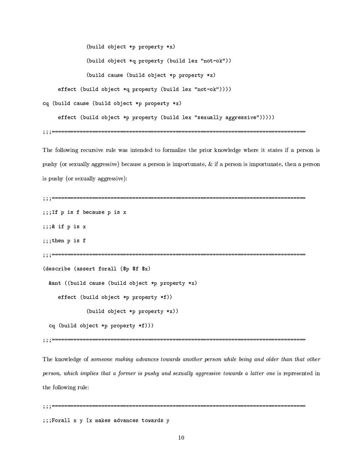$\sim$  2014  $\sim$  2014  $\sim$  2014  $\sim$  2014  $\sim$  2014  $\sim$  2014  $\sim$  2014  $\sim$  2014  $\sim$ >\* = 2>
 0/142/.61@ >\* = 7.26"!2
 -  $\lambda$  , and  $\lambda$  , and  $\lambda$  , and  $\lambda$  , and  $\lambda$  , and  $\lambda$  , and  $\lambda$  , and  $\lambda$ the set of the set of the set of the set of the set of the set of the set of the set of the set of the set of t >\* =+6 >\* = 2>/ /142/.61@ >\* 6= 2>/ /12/361@ >\*= 63-@ 144\* 4 ---

The following recursive rule was intended to formalize the prior knowledge where it states if a person is pushy (or sexually aggressive) because a person is importunate, & if a person is importunate, then a person is pushy (or sexually aggressive):

--

```
-
-

\ldots Tf m is f becouse m is \pi-
-
  *0/ * 
-
-
 6-.7 / *0
-
-

 =.13*>3  .61 261-
  5/ 6 

 47 -
>*
= 66 >*
6= 2>/ /12/361@ 
    \sim 600 \sim 200 \sim 200 \sim 200 \sim 200 \sim 200 \sim 200 \sim 200 \sim 200 \sim\lambda , and a set of the contract of the contract of the contract of the contract of the contract of the contract of the contract of the contract of the contract of the contract of the contract of the contract of the contr

 >*
6= 2>/ /12/361@ -
-
```
--

s and the same of the same of the same of the same of the same of the same of the same of the same of the same of the same of the same of the same of the same of the same of the same of the same of the same of the same of person, which implies that a former is pushy and sexually aggressive towards a latter one is represented in the following rule:

```
-
-
```
...<del>Ramall a o le maleas admanass tanands -</del>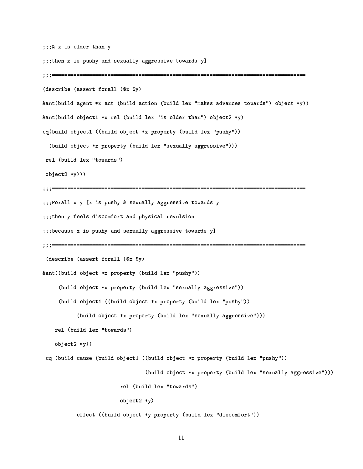```
\cdots \cdots \cdots \cdots \cdots \cdots \cdots \cdots \cdots \cdots \cdots \cdots \cdots \cdots \cdots \cdots \cdots \cdots \cdots \cdots \cdots \cdots \cdots \cdots \cdots \cdots \cdots \cdots \cdots \cdots \cdots \cdots \cdots \cdots \cdots \cdots \cdots-
-
 6-.7  * /-4@ 7= 
.-
@ 
		14*	?2-
41=30@(
-
-

 =.13*>3  .61 261-

@ 
. A set and the set of the set of the set of the set of the set of the set of the set of the set of the set of
74 >*= 2> %  1 >*
6= * 2 =61 6-37
02> @ 

  >*
= 2>% -
 >*
= 2> ?/12/.1@ >*
6=
  /-@ 
-

  >*
= 2>?/12/.1@ >*
6=
6.-
6@ 
		1.*	 
-
-

1  >*
6=
 2-
461=3

2> @ -

-
-

\ldots Ramall \ldots is is pusht \ell setuply proposative terrords to
...th... . f..l. dissemfront and phosical passels:.
-
-
 >.6  * /-@ 7= 
6.-
@ 
		1.*	<2-
.61=3 @(
-
-

 =4413*>.  461 261  
@ 
74 -
>*
= 2>?/12/361@ >*
=
 /-4@
-

    >*
6= 2>?/12/361@ >*
=

63-
@ 
		144*	4 
-

    >*
6= 2>% -
>*
= 2>?/12/361@ >*
= /-4@
-

         >*
= 2>
?/12/.1@ >*
=

6.-
@ 
		1.*	 
-
-

   14 >*
=
 2-
41=3

   2>-
 @ -

  >*
=+ >*
= 2>% -
>*
= 2>?/412/.61@ >*=
 /-@
-

                          >*
= 2>?/412/.61@ >*=
6
6.@ 		14*	 
-
-

                   14 >*=
 42-
461= 

                   2>-
 @ 
         >*
6= 2>@?/12/361@ >*=
 = *625#3261
-
```

```
àÇà
```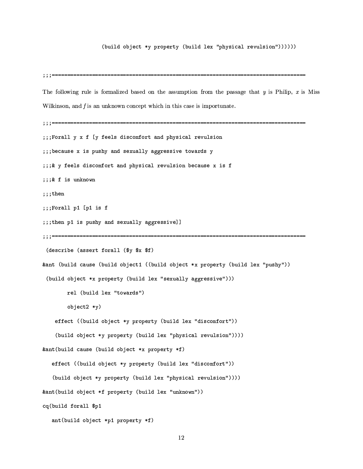#### >\* 6= 2>@?/12/361@ >\*= /-@3\* 1 6\*27
----

- social de: A:DMII and the extension of the extension of the extension of the extension of the extension of the extension of the extension of the extension of the extension of the extension of the extension of the extension K\_C\_nAK\_8SM[ZJ8yu:=8;RZ/KNMO:D8>S8AnA8SZo\O8PZJ8SP&I]XS< \OQSKNPBQKN8<?QSK\_MOP&:DM[IiK\_MOK\_VXjZD@[<?>S8H:x<?IJf-- ...@complete the first fine final disconsists and whereived wented airso ...baaanaa oo da muahoo amal aaoonalloo aannaaadoon baccanda oo ...0 - faala diaaanfant and phosisal pacolaian baaanaa - is f  $\ldots$  .  $\ldots$   $\vdots$  .  $\ldots$   $\ldots$ -- 6-.7 -- 261 /:% !9/:% \*0 -- 6-.7 /:% \* /-@ 7= 6.-6@ 14\* (( --  $\overline{4}$ 74 >\* 6=+6 >\* = 2> % - >\* = 2>
?/12/.1@ >\* = /-@ - >\* = 2> /412/.61@ >\* = .-@ 14\* -- 1 >\* 6= <sup>2</sup>-461=3  $object2 *y)$  >\* 6= 2>@?/12/361@ >\*= =3\*25#.261
- >\* = 2>@?/12/.1@ >\* = /-@3\*6?1 64\*27 --- 74 >\*=+ >\* = 2>?/412/.61@ - >\* = 2>@?/12/.1@ >\* = =3\*62#.261 - >\* = 2>@?/12/361@ >\*= /-@3\* 14 6\*27
-- 74 >\*= 2>6 /12/.1@ >\* = 77.2 -7
- >\* = 2614-5/:% ant (build object \*p1 property \*f)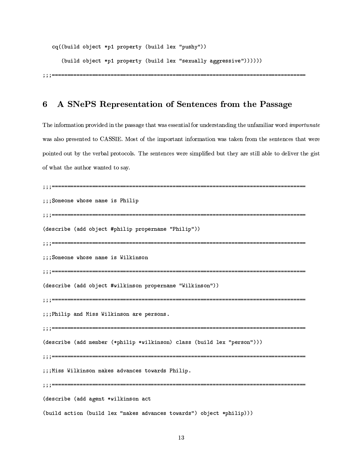```
cq((build object *p1 property (build lex "pushy"))
```
(build object \*p1 property (build lex "sexually aggressive"))))))

#### A SNePS Representation of Sentences from the Passage 6

The information provided in the passage that was essential for understanding the unfamiliar word *importunate* was also presented to CASSIE. Most of the important information was taken from the sentences that were pointed out by the verbal protocols. The sentences were simplified but they are still able to deliver the gist of what the author wanted to say.

```
;;;Someone whose name is Philip
(describe (add object #philip propername "Philip"))
;;;Someone whose name is Wilkinson
(describe (add object #wilkinson propername "Wilkinson"))
;;;Philip and Miss Wilkinson are persons.
(describe (add member (*philip *wilkinson) class (build lex "person")))
;;;Miss Wilkinson makes advances towards Philip.
(describe (add agent *wilkinson act
(build action (build lex "makes advances towards") object *philip)))
```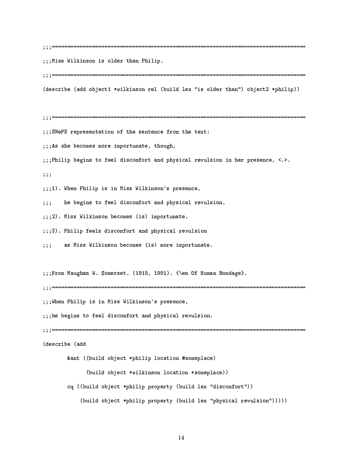;;;Miss Wilkinson is older than Philip.

(describe (add object1 \*wilkinson rel (build lex "is older than") object2 \*philip))

;;;SNePS representation of the sentence from the text: ;;; As she becomes more importunate, though, ;;;Philip begins to feel discomfort and physical revulsion in her presence, <.>.  $;;;$ 

;;;1). When Philip is in Miss Wilkinson's presence,

he begins to feel discomfort and physical revulsion.  $;;;$ 

;;;2). Miss Wilkinson becomes (is) importunate.

;;;3). Philip feels discomfort and physical revulsion

as Miss Wilkinson becomes (is) more importunate.  $\cdots$ 

;;;From Maugham W. Somerset. (1915, 1991). {\em Of Human Bondage}.

;;;When Philip is in Miss Wilkinson's presence,

;;;he begins to feel discomfort and physical revulsion.

(describe (add

&ant ((build object \*philip location #someplace)

(build object \*wilkinson location \*someplace))

- cq ((build object \*philip property (build lex "discomfort"))
	- (build object \*philip property (build lex "physical revulsion")))))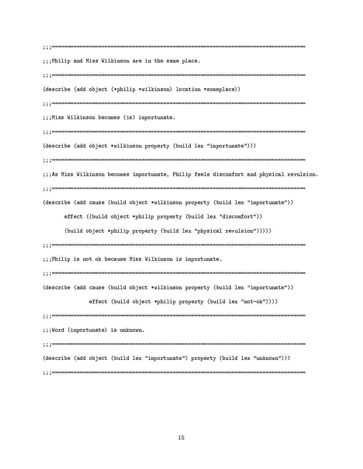;;;Philip and Miss Wilkinson are in the same place. (describe (add object (\*philip \*wilkinson) location \*someplace)) ;;;Miss Wilkinson becomes (is) importunate. (describe (add object \*wilkinson property (build lex "importunate"))) ;;;As Miss Wilkinson becomes importunate, Philip feels discomfort and physical revulsion. (describe (add cause (build object \*wilkinson property (build lex "importunate")) effect ((build object \*philip property (build lex "discomfort")) (build object \*philip property (build lex "physical revulsion"))))) ;;;Philip is not ok because Miss Wilkinson is importunate. (describe (add cause (build object \*wilkinson property (build lex "importunate")) effect (build object \*philip property (build lex "not-ok")))) ;;;Word (importunate) is unknown. (describe (add object (build lex "importunate") property (build lex "unknown")))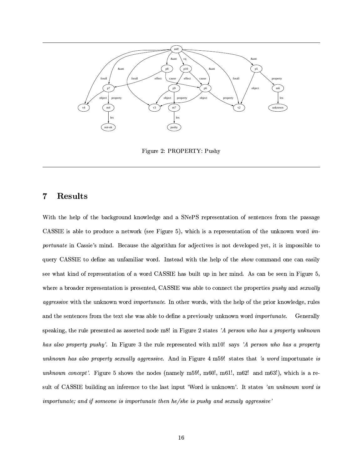

Figure 2: PROPERTY: Pushy

#### **Results**  $\overline{7}$

With the help of the background knowledge and a SNePS representation of sentences from the passage CASSIE is able to produce a network (see Figure 5), which is a representation of the unknown word  $im$ *portunate* in Cassie's mind. Because the algorithm for adjectives is not developed yet, it is impossible to query CASSIE to define an unfamiliar word. Instead with the help of the show command one can easily see what kind of representation of a word CASSIE has built up in her mind. As can be seen in Figure 5, where a broader representation is presented, CASSIE was able to connect the properties pushy and sexually aggressive with the unknown word *importunate*. In other words, with the help of the prior knowledge, rules and the sentences from the text she was able to define a previously unknown word *importunate*. Generally speaking, the rule presented as asserted node m8! in Figure 2 states 'A person who has a property unknown has also property pushy'. In Figure 3 the rule represented with m10! says 'A person who has a property unknown has also property sexually aggressive. And in Figure 4 m59! states that 'a word importunate is unknown concept'. Figure 5 shows the nodes (namely m59!, m60!, m61!, m62! and m63!), which is a result of CASSIE building an inference to the last input 'Word is unknown'. It states 'an unknown word is importunate; and if someone is importunate then he/she is pushy and sexualy aggressive'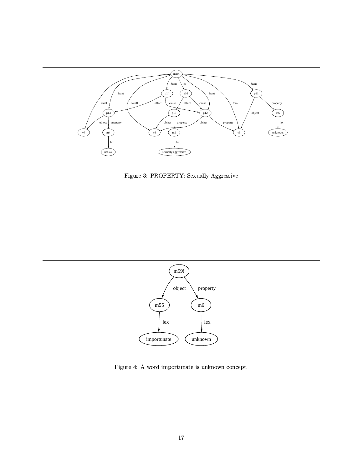

K\_GJ>A@?I%({´Y´V-Y
sL§H(j¤`IqE>H:=CNC\_U7.GJGD@?IM[M[K\_dbI



 $\blacksquare$  . The same set of  $\blacksquare$  is the same set of  $\blacksquare$  is the same set of  $\blacksquare$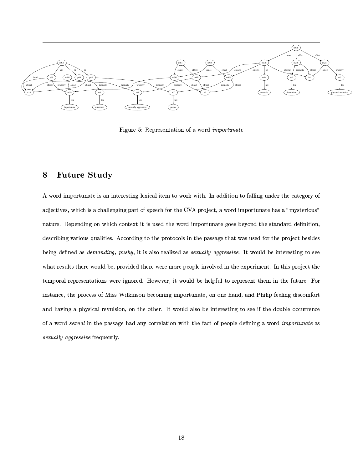

Figure 5: Representation of a word *importunate* 

### 8 Future Study

A word importunate is an interesting lexical item to work with. In addition to falling under the category of :Dr=^iP}Q\claribQ\claribQ\claribQ\claribQ\claribQ\claribQ\claribQ\claribQ\claribQ\claribQ\claribQ\claribQ\claribQ\claribQ\claribQ\claribQ\claribQ\claribQ\claribQ\claribQ\claribQ\claribQ\claribQ\claribQ\claribQ\claribQ\clar nature. Depending on which context it is used the word importunate goes beyond the standard definition,  $\mathcal{S}^{\text{max}}$  . The contract of the contract of the contract of the contract of the contract of the contract of the contract of the contract of the contract of the contract of the contract of the contract of the contract being defined as *demanding*, pushy, it is also realized as *sexually aggressive*. It would be interesting to see  $\overline{\mathcal{S}}$  , and the contract of the contract of the contract of the contract of the contract of the contract of the contract of the contract of the contract of the contract of the contract of the contract of the contrac instance, the process of Miss Wilkinson becoming importunate, on one hand, and Philip feeling discomfort and having a physical revulsion, on the other. It would also be interesting to see if the double occurrence of a word sexual in the passage had any correlation with the fact of people defining a word *importunate* as sexually aggressive frequently.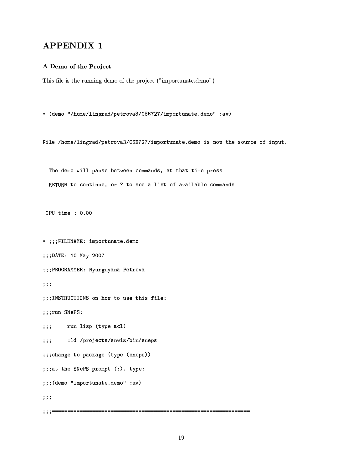### **APPENDIX 1**

### A Demo of the Project

This file is the running demo of the project ("importunate.demo").

\* (demo "/home/lingrad/petrova3/CSE727/importunate.demo" :av)

File /home/lingrad/petrova3/CSE727/importunate.demo is now the source of input.

The demo will pause between commands, at that time press RETURN to continue, or ? to see a list of available commands

 $CPU time : 0.00$ 

```
* ;;;FILENAME: importunate.demo
;;;DATE: 10 May 2007
;;;PROGRAMMER: Nyurguyana Petrova
;;;;;;INSTRUCTIONS on how to use this file:
;;;run SNePS:
   run lisp (type acl)
\mathbf{1};
    :ld /projects/snwiz/bin/sneps
\mathbf{5};
;;;change to package (type (sneps))
;;; at the SNePS prompt (:), type:
;;; (demo "importunate.demo" :av)
;;;
```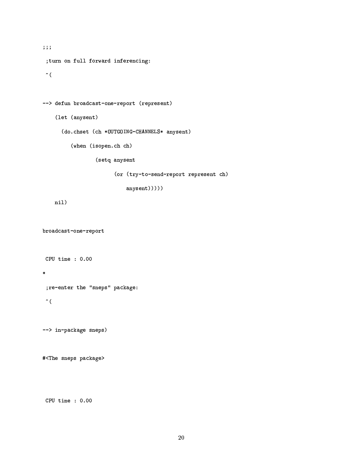```
\,;\,;\,;\,; turn on full forward inferencing:
 \hat{\mathcal{L}}--> defun broadcast-one-report (represent)
    (let (anysent)
       (do.chset (ch *OUTGOING-CHANNELS* anysent)
          (when (isopen.ch ch)
                   (setq anysent
                          (or (try-to-send-report represent ch)
```
anysent)))))

 $nil)$ 

broadcast-one-report

CPU time :  $0.00$ 

### $\star$

; re-enter the "sneps" package:

### $\hat{\cdot}$  (

--> in-package sneps)

#<The sneps package>

CPU time :  $0.00$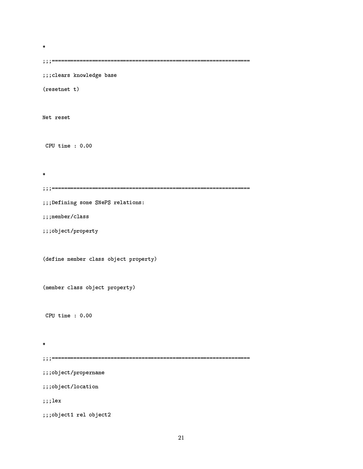$\star$ 

;;;clears knowledge base (resetnet t) Net reset CPU time :  $0.00$  $\ast$ ;;;Defining some SNePS relations: ;;;member/class ;;;object/property (define member class object property) (member class object property) CPU time :  $0.00$  $\pmb{\ast}$  $;$ ;;object/propername ;;;object/location  $;$ ;;lex ;;;object1 rel object2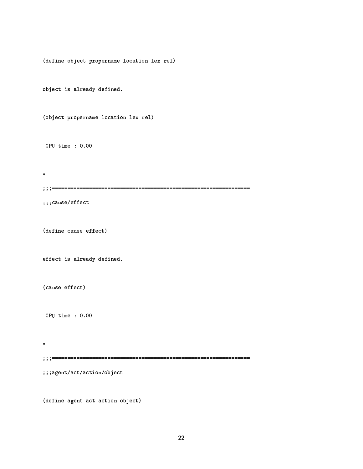```
 =.*7. 2></12/36167.5# 266 *27 
 1
object is already defined.
 2>?/142/.616735#3 266 *27 
 1
 3*#3 -
 B
\ast-
-

-
-
 64
 =.*7. 6  
effect is already defined.
\epsilon for \epsilon and \epsilon for \epsilon 3*#3 -
 B
\star-
-

-
-

	7.43*2732>
```
=.\*7. 47 43\*27+2>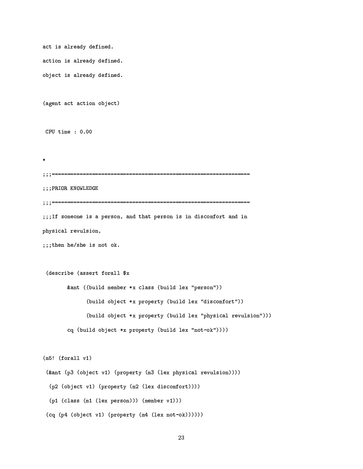```
act is already defined.
action is already defined.
object is already defined.
(agent act action object)
CPU time: 0.00;;;PRIOR KNOWLEDGE
;;;If someone is a person, and that person is in discomfort and in
physical revulsion,
;;;then he/she is not ok.
 (describe (assert forall $x
      &ant ((build member *x class (build lex "person"))
            (build object *x property (build lex "discomfort"))
            (build object *x property (build lex "physical revulsion")))
      cq (build object *x property (build lex "not-ok"))))
(m5! (for all v1)(&ant (p3 (object v1) (property (m3 (lex physical revulsion))))
 (p2 (object v1) (property (m2 (lex discomfort))))
 (p1 (class (m1 (lex person))) (member v1)))
 (cq (p4 (object v1) (property (m4 (lex not-ok))))))
```

```
23
```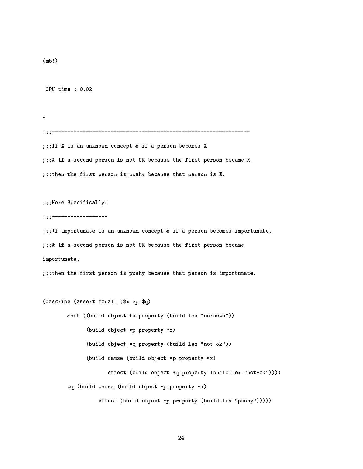$(m5!)$ 

3\*#3 - <sup>B</sup>

 $\ast$ -- ...T£ V :a an ::n|-na:nn aanaan± 0 :£ a maxaan haaamaa V ...0. 1£ a second papear is nat NV bacawas the finat papear bacape V ...baa bha finat manaan ia muaho haaawaa that manaan ia V  $\ldots$  More Crees fies little . -- !-!-!-!-!!-!-!-!-!!-!-!-!-!!-!-! ...T£ juusutuusta ja su uulusem seuseut 0.j£ a ususeu baseusa juusutuusta ...G. 16 a waaand mangan ja mat AV baaanga tha finat mangan baaama importunate, ,,,thin thi finit cinese is cushe hisine thit cinese is impintuate. =.13\*>3 .61 261- 5/ 7 ->\* = 2> /142/.61@ >\* = 7732-7  $\sim$  2014  $\sim$  2014  $\sim$  2014  $\sim$  2014  $\sim$  2014  $\sim$  2014  $\sim$  2014  $\sim$  2014  $\sim$ >\* = 2>
 0/142/.61@ >\* = 7.26"!2
 -  $\lambda$  , and  $\lambda$  , and  $\lambda$  , and  $\lambda$  , and  $\lambda$  , and  $\lambda$  , and  $\lambda$  , and  $\lambda$  >\* 6= 2>
 /12/361@ >\* = 7.26"!2
 -- >\* =+ >\* = 2> /</412/.61@ >\* = 2>/ /12/.1@ >\* 6= /-@
---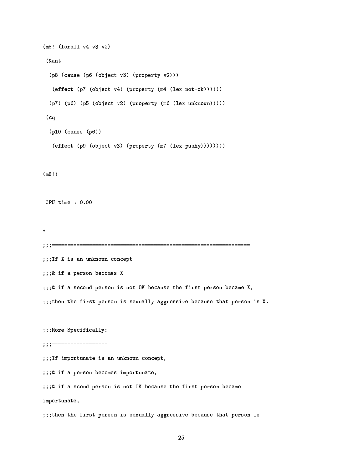```
(m8! (forall v4 v3 v2)
 \mathbf{1} \mathbf{1} \mathbf{1} \mathbf{1} \mathbf{1} \mathbf{1} \mathbf{1} \mathbf{1} \mathbf{1} \mathbf{1} \mathbf{1} \mathbf{1} \mathbf{1} \mathbf{1} \mathbf{1} \mathbf{1} \mathbf{1} \mathbf{1} \mathbf{1} \mathbf{1} \mathbf{1} \mathbf{1} \mathbf{1} \mathbf{1} \mathbf{\left( \begin{array}{cccc} c & c & d & d \end{array} \right)/ ... / ... ... / / ... . ... ...
    /.A /-
 /  2>	 /12/361@ #  
?77.2-
7-
-
-
-

 \mathbf{r} and \mathbf{r} and \mathbf{r} and \mathbf{r} /:%#  6 /-
-

       /  2>	
   /12/.1@ #3A  
?/-@ -
-
-
-
-
-

(m8!) 3*#3 -
 B
\star-
-

\ldots T.C. V is an independent concern
\ldots 0. 14 a mangang bagamag V
...0. 1£ a second papear is nat NV bacawas the finat papear bacape V
...Llaw tha finat papear is sannally approached hasones that papear is V
\ldots M_{\text{max}} C_{\text{max}} \vdots C_{\text{max}} \vdots C_{\text{max}}-
-
 !-
!-
!-
!-
!!-
!-
!-
!-
!!-
!-
!-
!-
!!-
!-
!
-
-
 +*#/.2167. * 7<77.2-
7 6276/ 
...0. 14 - mengan besamas impentunata
...G. :£ a seard rapear :s pat NV basansa tha f:pat rapear basana
importunate,,,,than tha finat wangan is ganually aggusaging haganga that wangan is
```

```
25
```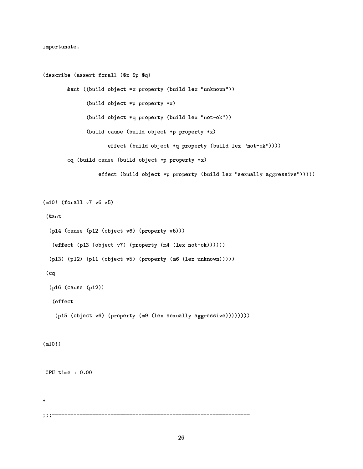importunate.

```
 =.13*>3  .61 261-

5/ 

           7 -
>*
= 2> /142/.61@ >*
= 7732-
7

                    \sim 2014 \sim 2014 \sim 2014 \sim 2014 \sim 2014 \sim 2014 \sim 2014 \sim 2014 \sim>*
= 2>
 0/142/.61@ >*
= 7.26"!2
 
-

                    \lambda , and \lambda , and \lambda , and \lambda , and \lambda , and \lambda , and \lambda , and \lambda >*
6= 2>
 /12/361@ >*
=
 7.26"!2
 
-
-

           \sim // \sim // \sim // \sim // \sim // \sim // \sim // \sim // \sim // \sim // \sim // \sim // \sim // \sim // \sim // \sim // \sim // \sim // \sim // \sim // \sim // \sim // \sim // \sim // \sim // \sim // \sim // \sim 
                           >*
= 2>/ /12/.1@ >*
6=
6.-
6@ 
		1.*	 
-
-
-

(m10! (forall v7 v6 v5)
   47
   /: /: /: /: /: /: // / / / / // //
    (1 + 12)(1) /:% 
  /&% " /:%%  2>4	" /412/.61@ #  
?77.2-
7 -
-
-

  \mathcal{L} and the set of the set of the set of the set of the set of the set of the set of the set of the set of the set of the set of the set of the set of the set of the set of the set of the set of the set of the set of
    /:%   6 /:% "-

    \epsilon and the set of \epsilon /:%   2>	 /12/361@ #  
 6.-
6@ 
		1.*	-
-
-
-
-
-

(m10!) 3*#3 -
 B
```
--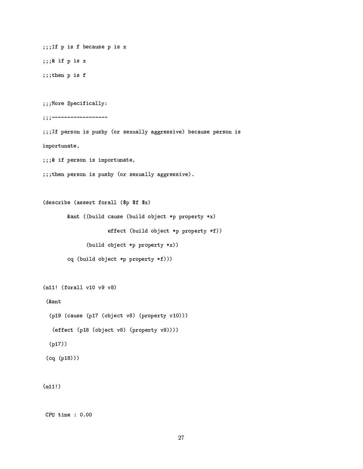```
\ldots . The state of the second contract of \mathcal{L} and \mathcal{L}-
-
  *0/ * 
 -
-
 6-.7 / *0
 -
-
 4261 /3*.*6-
@ -
 -
-
 !-
!-
!-
!-
!!-
!-
!-
!-
!!-
!-
!-
!-
!!-
!-
!
 \ldots Tf mappen is pushed (ap samuelle agenceated) because mappen is \ldotsimportunate,
 ...Q. 14 manasan 10 1mpandungaha
 \ldots, then person is pushe (en securelle compensatue)
  =.13*>3  .61 261-
  5/ 6 

                   7 -
>*
= 6  >*
= 2>5/ /12/.1@ 
                                                    >*
6= 2>/ /12/361@ -

                                  \lambda , and a set of the contract of the contract of the contract of the contract of the contract of the contract of the contract of the contract of the contract of the contract of the contract of the contract of the contr
                    \sim 2008 \sim 2008 \sim 2008 \sim 2008 \sim 2008 \sim 2008 \sim 2008 \sim 2008 \sim 2008 \sim 2008 \sim 2008 \sim 2008 \sim 2008 \sim 2008 \sim 2008 \sim 2008 \sim 2008 \sim 2008 \sim 2008 \sim 2008 \sim 2008 \sim 2008 (m11! (forall v10 v9 v8)
   \mathbf{1} \mathbf{1} \mathbf{1} \mathbf{1} \mathbf{1} \mathbf{1} \mathbf{1} \mathbf{1} \mathbf{1} \mathbf{1} \mathbf{1} \mathbf{1} \mathbf{1} \mathbf{1} \mathbf{1} \mathbf{1} \mathbf{1} \mathbf{1} \mathbf{1} \mathbf{1} \mathbf{1} \mathbf{1} \mathbf{1} \mathbf{1} \mathbf{ /:%
  6 /:%5A  2>4	4; /412/.61@	 %#-
-

        \mathcal{L} is a replaced to the set of the set of \mathcal{L} /:% A-

   \lambda , \lambda ; \lambda ; \lambda ; \lambda ; \lambda ; \lambda ; \lambda ; \lambda ; \lambda ; \lambda ; \lambda ; \lambda ; \lambda ; \lambda ; \lambda ; \lambda ; \lambda ; \lambda ; \lambda ; \lambda ; \lambda ; \lambda ; \lambda ; \lambda ; \lambda ; \lambda ; \lambda ; \lambda ; \lambda ; \lambda ; \lambda
```

```
(m11!)
```
3\*#3 - <sup>B</sup>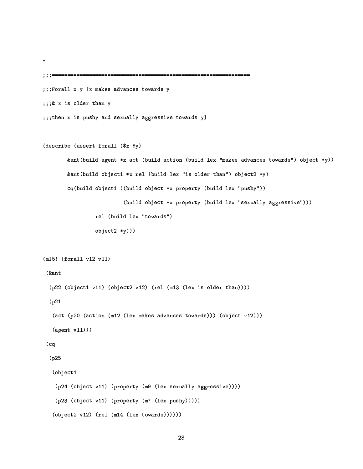```
-
-

...<del>Ramall a o le maleas admanass tanands -</del>
\cdots \cdots \cdots \cdots \cdots \cdots \cdots \cdots \cdots \cdots \cdots \cdots \cdots \cdots \cdots \cdots \cdots \cdots \cdots \cdots \cdots \cdots \cdots \cdots \cdots \cdots \cdots \cdots \cdots \cdots \cdots \cdots \cdots \cdots \cdots \cdots \cdots-
-
 6-.7  * /-4@ 7= 
.-
@ 
		14*	?2-
41=30@(
\overline{a} . The set of the set of the set of the set of the set of the set of the set of the set of the set of the set of the set of the set of the set of the set of the set of the set of the set of the set of the set of t
            7 >*
= 
	7
  >*
=  *27 >*
=
 #3
44 =-
	74 42-
461= 
02> @ -

            7 >*
= 2>% 
<1  >*
=
* 2=61 -.7
 2> @ 

 >*
6= 2>% >*
6= 2>?/12/361@ >*=
 /-@
-

                                        >*
6= 2>?/12/361@ >*=
6
6.@ 		14*	 
-
-

                          1  >*
6=
 2-
461=3

                          2> @ -
-

(m15! (forall v12 v11)
  47
   (-00 (-bic-1 -11) (-bic-10 -10) (--1 (-19 (le- is alden then))))
    /3%
    (a) , (i) , (i) , (i) , (i) , (i) , (i) , (i) , (i) , (i) , (i) , (i) , (i) , (i) , (i) , (i) , (i) , (i) , (i) , (i) , (i) , (i) , (i) , (i) , (i) , (i) , (i) , (i) , (i) , (i) , (i) , (i) , (i) , (i) , (i) , (i) , (i) , (
     	7	%%
-
-

 \mathcal{L} and the set of the set of the set of the set of the set of the set of the set of the set of the set of the set of the set of the set of the set of the set of the set of the set of the set of the set of the set of
    /
     2> %
       /  2>	%%
 /12/.61@ #  
 6
6.@ 		14*	-
-

      (200 \text{ (a} - 11) (200 \text{ (b)} - 11) (200 \text{ (c)} - 11) 2>-
 	% "  14 #&%   
 2-
.61=3-
-
-
-
```

```
\sim
```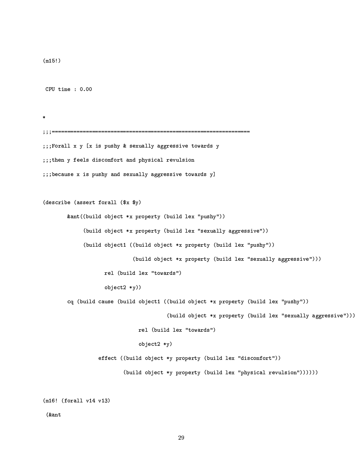```
(m15!)
```

```
 3*#3 -
 B
```

```
\ast-
-

...<del>R</del>amall o o fo da muabo 0 aaousallo aaousaadoo taopada o
erstean in faals disaandant and whichairel mainleich
-
-
 >.6  * /-@ 7= 
6.-
@ 
		1.*	<2-
.61=3 @(
 =.13*>3  .61 261-

@ 
     7 -
>*
= 2>4
 /12/.61@ >*
=
 /-@ 
-

         >*= 2>4
 /12/.61@ >*
=

6.-
@ 
		14*	 
-

         >*= 2>4% -
>*= 2>4?/12/.61@  >*
=
 /-@
-

                    >*= 2>4?/12/.61@  >*
=

.-
@ 
		14*	 
-

              1 >*
= 2-
41=3

              2<sub>4</sub> and 2<sub>5</sub> and 2<sub>6</sub>
  >*
=+ >*
= 2>% -
>*
= 2>?/412/.61@ >*=
  /-@
-

                            >*
= 2>?/412/.61@ >*=
 6
6.@ 		14*	 
-
-

                     1  >*
6=
 2-
461=3

                     object2 *y)
             >*
6= 2>@?/12/361@ >*=
 = *625#3261
-

                  >*
6= 2>@?/12/361@ >*=
 /-@3* 14
	6*27
-
-
-
-
```

```
(m16! (forall v14 v13)
                                      \mathbf{v} and \mathbf{v} and \mathbf{v}
```

```
\mathbf{1} \mathbf{1} \mathbf{1} \mathbf{1} \mathbf{1} \mathbf{1} \mathbf{1} \mathbf{1} \mathbf{1} \mathbf{1} \mathbf{1} \mathbf{1} \mathbf{1} \mathbf{1} \mathbf{1} \mathbf{1} \mathbf{1} \mathbf{1} \mathbf{1} \mathbf{1} \mathbf{1} \mathbf{1} \mathbf{1} \mathbf{1} \mathbf{
```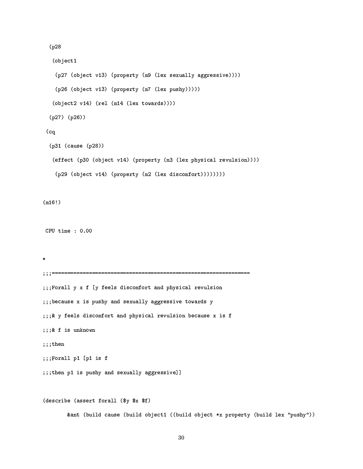```
 /;
```
 $\star$ 

```
 2> %
    /A  2>	% 
  /12/.61@ #  
 6
6.@ 		14*	-
-

   (0.06, 0.06) (0.000, 0.000) (0.000, 0.000) (0.000, 0.000) (0.000, 0.000) 2>-
 	%    14 #&%   
 2-
.61=3-
-

   /A /  -

 \mathbf{r} and \mathbf{r} and \mathbf{r} and \mathbf{r}\ell of \ell only \ell   /
   2>	%   /12/.61@ #

?/-@3* 14
	6*27 -
-

    /   2>	%   /12/.61@ #  
 = *625#3261 -
-
-
-
-

(m16!) 3*#3 -
 B
-
-

...@complete the first fine final disconsists and whereived wented airso
...baaanaa oo da muahoo amal aaoonalloo aannaaadoon baccanda oo
...0 - faala diaaanfant and phosisal pacolaian baaanaa - is f
\ldots . \ldots \vdots . \ldots \ldots-
-
 6-.7
-
-
 261 /:% !9/:% *0
-
-
 6-.7 /:% * /-@ 7= 6.-
6@ 
		14*	((
 =.13*>3  .61 261-
  @
6
```
7 >\*=+66 >\* 6= 2>% >\* 6= 2>?/12/361@ >\*= /-@ -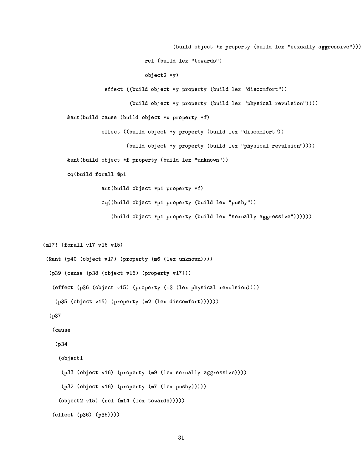>\* 6= 2>?/12/361@ >\*= 6 6.@ 144\* 4 --

1 >\* = 2-461=3

object2 \*y)

4 >\* 6= 2>@?/12/361@ >\* = =3\*25#.261
-

>\* 6= 2>@?/12/361@ >\* = /-@3\*6?1 6\*27
--- 7 >\* = 6 >\* = 2>?/12/.1@

- 2020 - 2021 - 2021 - 2021 - 2021 - 2021 - 2021 - 2021 - 2021 - 2021 - 2021 - 2021 - 2021 - 2021 - 2021 - 202

>\* = 2>@?/12/.1@ >\* = /-@3\*6?1 64\*27 ---

7 >\* = 2> /12/361@ >\*= 7732-7

>\* 6= 21-5/&%

7 >\* = 2>4/:% /142/.61@

->\* = 2>4/:% /142/.61@ >\* 6= /-@

>\*= 2>4/:% /142/.61@ >\* 6= 6.-6@ 14\* ----

(m17! (forall v17 v16 v15)

47 / 2>4 % A /12/.1@ # ?77.2 -7 --

 $\ell$  and  $\ell$  and  $\ell$  are  $\ell$  and  $\ell$  are  $\ell$  and  $\ell$  are  $\ell$ 

/ cc + / pc / 1 : + / = / = / p / = / = 1 + = 1 : \\\\

 $\ell$  or  $\ell$  ,  $\ell$  is a  $\ell$  or  $\ell$  or  $\ell$  .  $\ell$  ,  $\ell$  ,  $\ell$  ,  $\ell$  ,  $\ell$  ,  $\ell$  ,  $\ell$  ,  $\ell$  ,  $\ell$  ,  $\ell$  ,  $\ell$  ,  $\ell$  ,  $\ell$  ,  $\ell$  ,  $\ell$  ,  $\ell$  ,  $\ell$  ,  $\ell$  ,  $\ell$  ,  $\ell$  ,  $\ell$  ,  $\ell$  ,  $\ell$  ,  $\ell$  ,  $\ell$ 

 $\sqrt{a}$ 

 $\sqrt{a}$ 

```
 2>4%
```
 $\lambda$  and  $\lambda$  and  $\lambda$  and  $\lambda$  and  $\lambda$  and  $\lambda$  and  $\lambda$  and  $\lambda$  and  $\lambda$  and  $\lambda$  and  $\lambda$  and  $\lambda$  and  $\lambda$  and  $\lambda$  and  $\lambda$  and  $\lambda$  and  $\lambda$  and  $\lambda$  and  $\lambda$  and  $\lambda$  and  $\lambda$  and  $\lambda$  and  $\lambda$  and  $\lambda$  and  $\lambda$ 

 $(22 \times 22)$   $(22 \times 16)$   $(22 \times 16)$   $(22 \times 16)$   $(22 \times 16)$   $(22 \times 16)$   $(22 \times 16)$ / 2> % /412/.61@ #3A ?/-4@ --- 2>4 % 1 # % 42-461= ---

 $\ell$  as  $\ell$  and  $\ell$  ariticle  $\ell$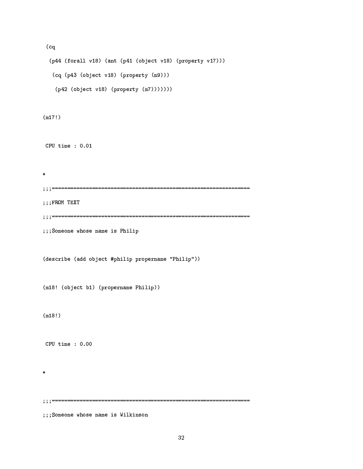```
 /  21-
 	% ;  7  /%  2> 	% ; /12/.61@ 	% A-
-

(2\pi (n42 \text{ (a)12}) /  2>	%5; /12/.61@ #3A-
-
-
-
-
```
 $(m17!)$ 

3\*#3 - <sup>B</sup> %

 $\mathcal{L}$  and the set of the set of the set of the set of the set of the set of the set of the set of the set of the set of the set of the set of the set of the set of the set of the set of the set of the set of the set of

 $\ast$ 

```
-
-

-
-
```
--

-- 25#327. --.2407.#3 \*-\* \*/

=.13\*>3 == 2>4 /-\*\*/ /12/.6167.#3 -\* \*/
-

(m18! (obiect b1) (propername Philip))

 $(m18!)$ 

3\*#3 - <sup>B</sup>

 $\star$ 

--

...Camaana -baaa nama ja Ujllijnaan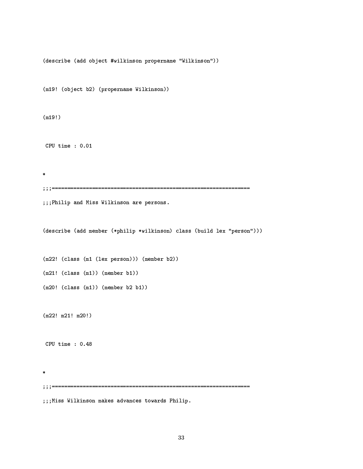(describe (add object #wilkinson propername "Wilkinson"))

(m19! (object b2) (propername Wilkinson))

 $(m19!)$ 

CPU time :  $0.01$ 

 $\ast$ 

```
;;;Philip and Miss Wilkinson are persons.
```
(describe (add member (\*philip \*wilkinson) class (build lex "person")))

(m22! (class (m1 (lex person))) (member b2))

 $(m21! (class (m1)) (member b1))$ 

 $(m20! (class (m1)) (member b2 b1))$ 

 $(m22! m21! m20!)$ 

CPU time :  $0.48$ 

 $\star$ 

;;;Miss Wilkinson makes advances towards Philip.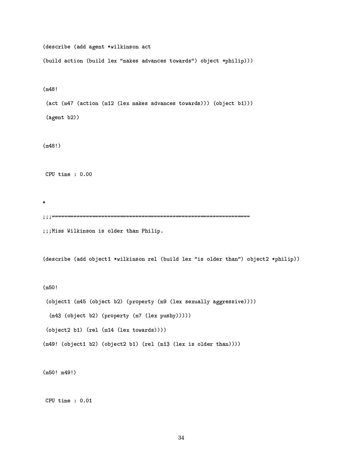=.13\*>3 == 74- \*  \*727 >\* = \*27 >\* = #3
44?6=- 4764 42-461= 2>/-\* 4\*/ --

 $(m48)!$ 

 4 #A 3\*27 #&% #3
4. 6=- 76402-461=3-- 2>?>:%-- 7?>-

 $(m48!)$ 

3\*#3 - <sup>B</sup>

 $\star$ 

--

...Mjaa Ujilkimaan ia aldam bhan Dhilim

=.13\*>3 == 2>4% - \* \*7627 14 >\*= \* 2=461 6-.7
02>4 /-\* 4\*/ -

### $(m50!$

2> % #- 2>?>" /12/.1@ # .-@ 14\* --

 $\left( \begin{array}{ccc} 1 & 0 \\ 0 & 1 \end{array} \right)$ 

2>- >:% 1 #&% 2-41=3--

(m49! (object1 b2) (object2 b1) (rel (m13 (lex is older than))))  $\,$ 

 $(m50! m49!)$ 

3\*#3 - <sup>B</sup> %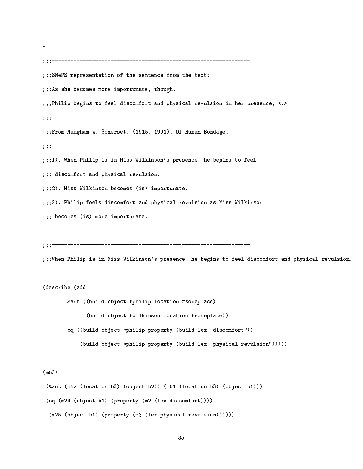-- ...CN.ADC proposopotation of the poptemen from the text ...A aka kaasmaa mama immammunata thawah ...Dhilim baaina ta faal diaaamfamt and mboaiaal paoolaian in ban-moaannaa -/ \ --  $\ldots$  Example Boundaries (1015 1001) Of Hymn Bandara --  $\ldots$ .1) [Rem Dbilis is in Miga Uillingen), presence the beging to feel  $\ldots$ of a face of and plusted on 1 percent of an  $\ldots$  0) Miss Uillineam because  $(i)$  importunate  $\ldots$ 2) Dhilin foola diacomfont and physical mounlaion as Miss Wilkinson.  $\cdots$  becomes  $(2\pi)$  were importantly

--

...Wham Dhilim is in Miss Wilkinson)s noceaned the besing to fact discomfoot and phoeisel peopleion.

 $\frac{1}{3}$  .  $\frac{1}{3}$  ,  $\frac{1}{3}$  ,  $\frac{1}{3}$  ,  $\frac{1}{3}$  ,  $\frac{1}{3}$  ,  $\frac{1}{3}$  ,  $\frac{1}{3}$  ,  $\frac{1}{3}$  ,  $\frac{1}{3}$  ,  $\frac{1}{3}$  ,  $\frac{1}{3}$  ,  $\frac{1}{3}$  ,  $\frac{1}{3}$  ,  $\frac{1}{3}$  ,  $\frac{1}{3}$  ,  $\frac{1}{3}$  ,  $\frac{1}{3}$  ,  $\frac{1$ 

 $\ast$ 

7 ->\* = 2>/-\* 4\*/ 263\*27 .25#/

>\* = 2>- \*  \*727 263\*27 25#3/ 6

>\* 6= 2>/-\* 4\*/ /412/.61@ >\*= <sup>=</sup> \*625#3261 -

>\* 6= 2>/-\* 4\*/ /412/.61@ >\*= /-@3\* 14 6\*27
---

#### $4.001$ '

(a, (ro (1, 10) (1, 10) (ra (1, 10) (1, 14)) #  2>?>&% /12/.61@ # <sup>=</sup> \*625#3261 -- # 2><>:% /12/361@ # ?/-@3\*6 1 6\*627 ----

 $35$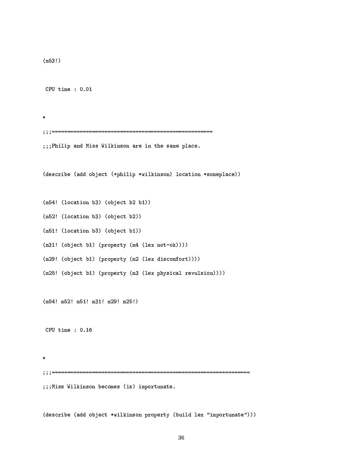```
(m53!)CPU time : 0.01\ast;;;Philip and Miss Wilkinson are in the same place.
(describe (add object (*philip *wilkinson) location *someplace))
(m54! (location b3) (object b2 b1))
(m52! (location b3) (object b2))
(m51! (location b3) (object b1))
(m31! (object b1) (property (m4 (lex not-ok))))(m29! (object b1) (property (m2 (lex discomfort))))
(m25! (object b1) (property (m3 (lex physical revulsion))))
(m54! m52! m51! m31! m29! m25!)CPU time : 0.16;;;Miss Wilkinson becomes (is) importunate.
```
(describe (add object \*wilkinson property (build lex "importunate")))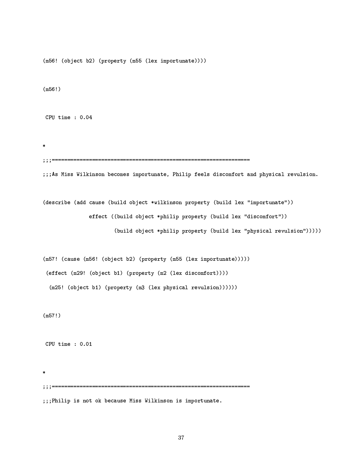(m56! (obiect b2) (property (m55 (lex importunate))))

 $(m56!)$ 

3\*#3 - <sup>B</sup>

--

richa Miaa Wilkipeep beespaa ippeentuste. Dhilip feela diasepfent end physical penulaisp

 =.13\*>3 ==+66 >\* 6= 2>- \*  \*727 /12/.61@ >\* = \*#/32616736 4 ->\* = 2>/-\* \*/ /12/361@ >\* = =3\*25#.261
- >\* = 2>/-\* \*/ /12/361@ >\* = /-@3\*6?1 6\*27
---

(m57! (cause (m56! (object b2) (property (m55 (lex importunate))))) (effect (m29! (obiect b1) (property (m2 (lex discomfort)))) (m25! (object b1) (property (m3 (lex physical revulsion))))))

 $(m57!)$ 

3\*#3 - <sup>B</sup> %

--

...Dt:l:w :a wat al baaanaa M:aa U:lligaaan :a :wwantunata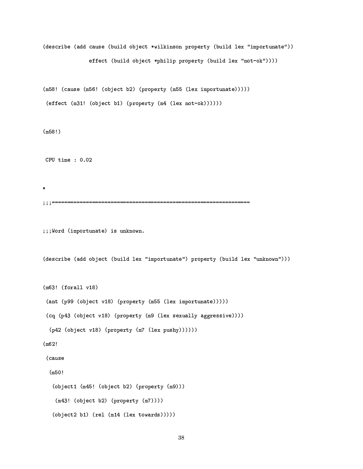=.13\*>3 ==+66 >\* 6= 2>- \*  \*727 /12/.61@ >\* = \*#/32616736  $\mathcal{L} = \mathcal{L} = \mathcal{L} = \mathcal{L} = \mathcal{L} = \mathcal{L} = \mathcal{L} = \mathcal{L} = \mathcal{L} = \mathcal{L} = \mathcal{L} = \mathcal{L} = \mathcal{L} = \mathcal{L} = \mathcal{L} = \mathcal{L} = \mathcal{L} = \mathcal{L} = \mathcal{L} = \mathcal{L} = \mathcal{L} = \mathcal{L} = \mathcal{L} = \mathcal{L} = \mathcal{L} = \mathcal{L} = \mathcal{L} = \mathcal{L} = \mathcal{L} = \mathcal{L} = \mathcal{L} = \mathcal$ 

(m58! (cause (m56! (object b2) (property (m55 (lex importunate))))) (effect (m31! (object b1) (property (m4 (lex not-ok))))))

 $(m58!)$ 

3\*#3 - <sup>B</sup>

÷. --

 $\ldots$  Used (impositionate) is unlapsed

=.13\*>3 == 2>4 >\*= \*#/.2617.6 /412/.61@ >\* = 77.2-7 --

```
(m63! (forall v18)
   7 /  2>	% ; /412/.61@ #   *#/.26167.64-
-
-

  \left( \begin{array}{cccc} 1 & 0 & 0 & 0 \\ 0 & 0 & 0 & 0 \\ 0 & 0 & 0 & 0 \\ 0 & 0 & 0 & 0 \\ 0 & 0 & 0 & 0 \\ 0 & 0 & 0 & 0 \\ 0 & 0 & 0 & 0 \\ 0 & 0 & 0 & 0 \\ 0 & 0 & 0 & 0 \\ 0 & 0 & 0 & 0 \\ 0 & 0 & 0 & 0 \\ 0 & 0 & 0 & 0 \\ 0 & 0 & 0 & 0 \\ 0 & 0 & 0 & 0 \\ 0 & 0 & 0 & 0 \\ 0 & 0 & 0 & 0 \\ 0 & 0 & 0 & 0 \\ 0 & 0 & /  2> 	% ; /12/.61@ #3A  
?/-@ -
-
-
-

(m62!)\mathbf{r} and the contract of \mathbf{r}(m50)!(obiect1 (m45! (obiect b2) (property (m9)))
       (m43! (object b2) (property (m7))))
      2>-
 >:%
  1  #&%   
 2-
461=3 -
-
-
-
```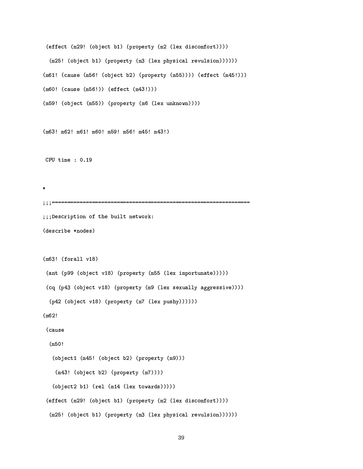(effect (m29! (obiect b1) (property (m2 (lex discomfort))))  $(m25!$  (object b1) (property (m3 (lex physical revulsion))))))) (m61! (cause (m56! (object b2) (property (m55)))) (effect (m45!))) # C' 6 # ' - 4 # ' -- (m59! (obiect (m55)) (property (m6 (lex unknown)))) (m63! m62! m61! m60! m59! m56! m45! m43!) 3\*#3 - B%
 -- ...Raaanjutjan af tha bujlt patcoaul. =.13\*>3 7326=4 (m63! (forall v18) 7 / 2> % ; /412/.61@ # \*#/.26167.64--- / 2> % ; /142/.61@ # 6.-@ 1.\* --- / 2> % ; /12/.61@ #3A ?/-@ ----  $(m62!)$  $\lambda$  and  $\lambda$  and  $\lambda$  and  $\lambda$  and  $\lambda$  and  $\lambda$  and  $\lambda$  and  $\lambda$  and  $\lambda$  and  $\lambda$  and  $\lambda$  and  $\lambda$  and  $\lambda$  and  $\lambda$  and  $\lambda$  and  $\lambda$  and  $\lambda$  and  $\lambda$  and  $\lambda$  and  $\lambda$  and  $\lambda$  and  $\lambda$  and  $\lambda$  and  $\lambda$  and  $\lambda$   $(m50!)$ (obiect1 (m45! (obiect b2) (property (m9))) (m43! (object b2) (property (m7)))) 2>- >:% 1 #&% <sup>2</sup>-461=3 ----

(effect (m29! (object b1) (property (m2 (lex discomfort))))

 $(m25!$  (object b1) (property (m3 (lex physical revulsion)))))))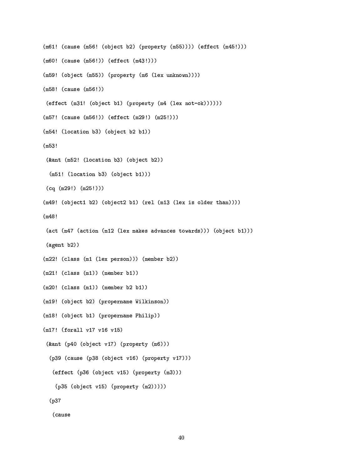```
(m61! (cause (m56! (object b2) (property (m55)))) (effect (m45!)))
# C'  6 #  ' -
 4 #
 ' -
-

(m59! (obiect (m55)) (property (m6 (lex unknown))))
(m58! (cause (m56!))
 (effect (m31! (object b1) (property (m4 (lex not-ok))))))
#AC'  6 #  ' -
 4 #  '  #C' -
-

(m54! (location b3) (obiect b2 b1))
4.001 '
 (&ant (m52! (location b3) (obiect b2))
  (m51! (location b3) (object b1)))
 (ca (m29!) (m25!)))
(m49! (obiect1 b2) (obiect2 b1) (rel (m13 (lex is older than))))
(m48!) 4 #A  3*27 #&%   
 #3
4. 6=-
	76402-
461=3-
-
  2>?>:%-
-

  	7?>-

(m22! (class (m1 (lex person))) (member b2))
(m21! (class (m1)) (member b1))
(m20! (class (m1)) (member b2 b1))
(m19! (object b2) (propername Wilkinson))
(m18! (obiect b1) (propername Philip))
(m17! (forall v17 v16 v15)
  47 /  2>4	% A  /12/.1@ #-

  \ell and \ell and \ell are \ell and \ell are \ell and \ell are \ell and \ell are \ell and \ell are \ell and \ell are \ell and \ell are \ell and \ell are \ell and \ell are \ell and \ell are \ell and \ell are \ell and \ell 
    \ell , \ell , and \ell , \ell , \ell , \ell , \ell , \ell , \ell , \ell , \ell , \ell , \ell , \ell , \ell , \ell , \ell , \ell , \ell , \ell , \ell , \ell , \ell , \ell , \ell , \ell , \ell , \ell , \ell , \ell , \ell , 
      /
   2>	%" /12/.61@ #-
-
-
-

  \sqrt{2}
```

```
\mathbf{r} and the contract of \mathbf{r}
```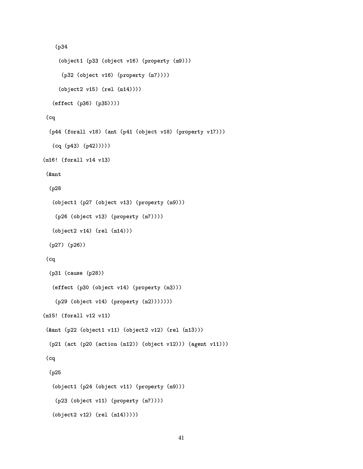```
\sqrt{2}(-biset1 (-99 (-biset -16) (-prepents (-0)))
           \ell as \ell as \ell and \ell as \ell = \ell = \ell = \ell = \ell = \ell = \ell = \ell = \ell = \ell = \ell = \ell = \ell = \ell = \ell = \ell = \ell = \ell = \ell = \ell = \ell = \ell = \ell = \ell = \ell = \ell = \ell =
          2>4 	%   1 # %  -
-

     / cc · / pc/ / pr////
 \mathbf{r} and \mathbf{r} and \mathbf{r} /  21-
 	% ;  7  /%  2> 	% ; /12/.61@ 	% A-
-

     (2 - (20) (20)(m16! (forall v14 v13)
                                       \mathbf{v} and \mathbf{v} and \mathbf{v}\mathbf{1} \mathbf{1} \mathbf{1} \mathbf{1} \mathbf{1} \mathbf{1} \mathbf{1} \mathbf{1} \mathbf{1} \mathbf{1} \mathbf{1} \mathbf{1} \mathbf{1} \mathbf{1} \mathbf{1} \mathbf{1} \mathbf{1} \mathbf{1} \mathbf{1} \mathbf{1} \mathbf{1} \mathbf{1} \mathbf{1} \mathbf{1} \mathbf{ /;
     (4.62 \times 11) (0.07) (0.62 \times 10) (0.02 \times 10)(1, 0, 0, 0) (2, 0, 1, 0, 0, 0) (2, 0, 0, 0, 0, 0, 0, 0, 0) 2>-
 	%    14 #&%  -
-

    /A /  -

   \ell of \ell only \ell\left( \begin{array}{ccc} 0 & 0 & 0 \\ 0 & 1 & 0 \end{array} \right) /   2>	%   /12/.61@ #-
-
-
-
-

(m15! (forall v12 v11)
 (0.224 \, \text{cm}^{-1} \, \text{cm}^{-1} \, \text{cm}^{-1} \, \text{cm}^{-1} \, \text{cm}^{-1} \, \text{cm}^{-1} \, \text{cm}^{-1} \, \text{cm}^{-1} \, \text{cm}^{-1} \, \text{cm}^{-1} \, \text{cm}^{-1} \, \text{cm}^{-1} \, \text{cm}^{-1} \, \text{cm}^{-1} \, \text{cm}^{-1} \, \text{cm}^{-1} \, \text{cm}^{-1} \, \text{cm}^{-1} \, \text{cm}^{-1} \, \text{cm}^{-1} \, \text{cm}^{-1} \, \text /3%   /$  43*27 #&% "-
  2>	% "-
-
  	7	%%
-
-

 \mathbf{r} and \mathbf{r} and \mathbf{r} /
      2> % /  2>	 %%
 /142/.61@ #-
-

       (m22)(1) 2>-
 	% "  14 #&%  -
-
-
-
```

```
| à
```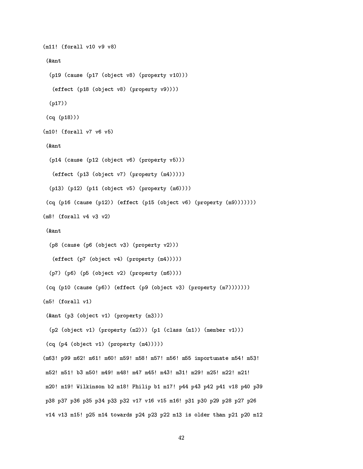```
(m11! (for all v10 v9 v8))(kant)(p19 (cause (p17 (object v8) (property v10)))
  (effect (p18 (object v8) (property v9))))
 (p17)(cq (p18)))(m10! (for all v7 v6 v5))(kant(p14 (cause (p12 (object v6) (property v5)))
  (effect (p13 (object v7) (property (m4)))))
 (p13) (p12) (p11 (object v5) (property (m6))))(cq (p16 (cause (p12)) (effect (p15 (object v6) (property (m9)))))))
(m8! (forall v4 v3 v2)(kant)(p8 (cause (p6 (object v3) (property v2)))
  (effect (p7 (object v4) (property (m4)))))
 (p7) (p6) (p5 (object v2) (property (m6))))(cq (p10 (cause (p6)) (effect (p9 (object v3) (property (m7)))))))
(m5! (for all v1)(&ant (p3 (object v1) (property (m3)))
 (p2 (object v1) (property (m2))) (p1 (class (m1)) (member v1)))
 (cq (p4 (object v1) (property (m4)))))
(m63! p99 m62! m61! m60! m59! m58! m57! m56! m55 importunate m54! m53!
m52! m51! b3 m50! m49! m48! m47 m45! m43! m31! m29! m25! m22! m21!
m20! m19! Wilkinson b2 m18! Philip b1 m17! p44 p43 p42 p41 v18 p40 p39
p38 p37 p36 p35 p34 p33 p32 v17 v16 v15 m16! p31 p30 p29 p28 p27 p26
v14 v13 m15! p25 m14 towards p24 p23 p22 m13 is older than p21 p20 m12
```

```
42
```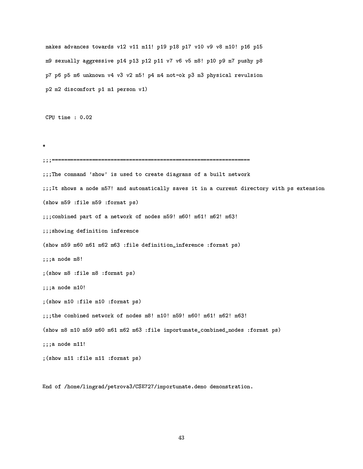makes advances towards v12 v11 m11! p19 p18 p17 v10 v9 v8 m10! p16 p15 m9 sexually aggressive p14 p13 p12 p11 v7 v6 v5 m8! p10 p9 m7 pushy p8 p7 p6 p5 m6 unknown v4 v3 v2 m5! p4 m4 not-ok p3 m3 physical revulsion p2 m2 discomfort p1 m1 person v1)

CPU time :  $0.02$ 

;;;The command 'show' is used to create diagrams of a built network ;;;It shows a node m57! and automatically saves it in a current directory with ps extension (show m59 :file m59 :format ps) ;;;combined part of a network of nodes m59! m60! m61! m62! m63! ;;;showing definition inference (show m59 m60 m61 m62 m63 :file definition\_inference :format ps)  $;$ ;;;a node m8! ; (show m8 : file m8 : format ps) ;;;a node m10! ; (show m10 : file m10 : format ps) ;;;the combined network of nodes m8! m10! m59! m60! m61! m62! m63! (show m8 m10 m59 m60 m61 m62 m63 :file importunate\_combined\_nodes :format ps) ;;;a node m11! ; (show m11 : file m11 : format ps)

End of /home/lingrad/petrova3/CSE727/importunate.demo demonstration.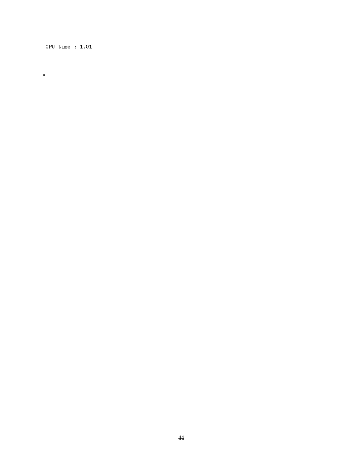CPU time :  $1.01$ 

 $\ast$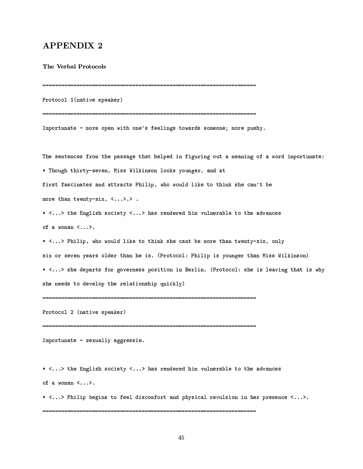### $\blacksquare$

#%-J%+" 2: 

 Protocol 1(native speaker) #/32616736 ! #32614 2/.7 - \*6-+27. 0\*7 302-461=3 25#327. #32610/-4@ <sup>B</sup> -. 67764012# 6-.0/.4 ?6-36?-.5/36= \*7 .\* 13\*7 2 #37\*7 2 -4261= \*#/.26167.6 - $\frac{1}{2}$  . The state of the state of the state of the state of the state of the state of the state of the state of the state of the state of the state of the state of the state of the state of the state of the state of t .\*51 5 4\*7.6. 74= 6143-\*\*/ --.2 -42=4\*4?2?6-\*7 -. 67 ?>.  $\mathcal{A}^{\mathcal{A}}$  , and the set of the set of the set of the set of the set of the set of the set of the set of the set of the set of the set of the set of the set of the set of the set of the set of the set of the set of t BBB 6-3 7 "\*- 2\*66@ BBB -34 17=4616=?-\*# 657.1><2?6-. 6=- 4764 2 -425#37 BBB <sup>B</sup> BBB -\* \*/ --.2 -426=\*4?2?-\*7 -3 67?>. #3261?-.7 -47@"!\* 27@  $\mathcal{A} = \{ \mathcal{A}^T \mathcal{A}^T \mathcal{A}^T \mathcal{A}^T \mathcal{A}^T \mathcal{A}^T \mathcal{A}^T \mathcal{A}^T \mathcal{A}^T \mathcal{A}^T \mathcal{A}^T \mathcal{A}^T \mathcal{A}^T \mathcal{A}^T \mathcal{A}^T \mathcal{A}^T \mathcal{A}^T \mathcal{A}^T \mathcal{A}^T \mathcal{A}^T \mathcal{A}^T \mathcal{A}^T \mathcal{A}^T \mathcal{A}^T \mathcal{A}^T \mathcal{A}^T \mathcal$ . BBB -3. 2020 - 2020 - 2020 - 2020 - 2020 - 2020 - 2020 - 2020 - 2020 - 2020 - 2020 - 2020 - 2020 - 2020 - 20  $\sim$  2736  $\sim$  2736  $\sim$  2736  $\sim$  2736  $\sim$  2736  $\sim$  2736  $\sim$  2736  $\sim$  2736  $\sim$  2736  $\sim$  2736  $\sim$  2736  $\sim$  2736  $\sim$  2736  $\sim$  2736  $\sim$  2736  $\sim$  2736  $\sim$  2736  $\sim$  2736  $\sim$  2736  $\sim$  2736  $\sim$  2736  $\sim$  2736 Protocol 2 (native speaker) #/32616736 ! .-@ 14\*6 <sup>B</sup> BBB 6-3 7 "\*- 2\*66@ BBB -34 17=4616=?-\*# 657.1><2?6-. 6=- 4764 2 -425#37 BBB <sup>B</sup> BBB -\* \*/ >. 3\*7 2? =3\*625#.21 7=?/-@3\*6 1 6\*627 \*7 -.61 /41476 BBB <sup>B</sup>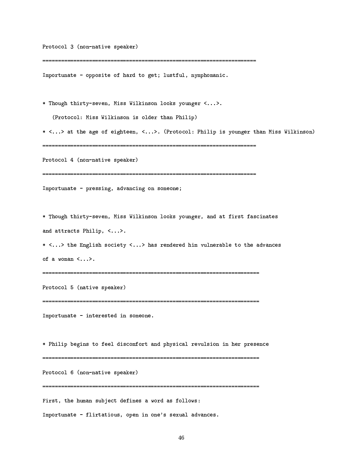$D_{\text{model}} \sim 7.2 \text{ (mean matrix and mean)}$ 

Importunate - opposite of hard to get; lustful, nymphomanic.

 $\sim$  . And the state of the state of the state of the state of the state of the state of the state of the state of the state of the state of the state of the state of the state of the state of the state of the state of th /= 2002 - 2002 - 2002 - 2012 - 2012 - 2012 - 2022 - 2022 - 2022 - 2022 - 2022 - 2022 - 2022 - 2022 - 2022 - 20  $\mathcal{L} = \{ \mathcal{L} = \mathcal{L} \mid \mathcal{L} = \mathcal{L} \}$  . The contract of the contract of the contract of the contract of the contract of the contract of the contract of the contract of the contract of the contract of the contract of t Protocol 4 (non-native speaker) Importunate - pressing, advancing on someone; -.2 6- 6-\*1@"!6 7 \*\*  \*727 22
 @27 461 7= .\*51 5 4\*7.6. 7= 13-\* 4\*/ BBB <sup>B</sup> BBB 6-3 7 "\*- 2\*66@ BBB -34 17=4616=?-\*# 657.1><2?6-. 6=- 4764 2 -425#37 BBB <sup>B</sup> Protocol 5 (native speaker) Importunate - interested in someone. -\* \*/ >. \*7 2< =3\*625#.261 7=?/-@ \*6 14 6\*27 \*7 -.61?/1476 Protocol 6 (non-native speaker) \*51 5 6-.0-#37 > =4.\*7.. -4261= 402-2- -

 $\overline{1}$  , and the state of the state of the state of the state of the state of the state of the state of the state of the state of the state of the state of the state of the state of the state of the state of the state o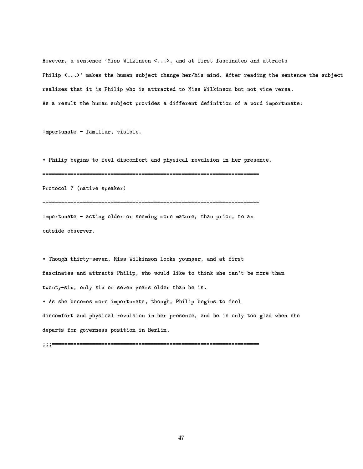However, a sentence 'Miss Wilkinson <...>, and at first fascinates and attracts Philip <...>' makes the human subject change her/his mind. After reading the sentence the subject realizes that it is Philip who is attracted to Miss Wilkinson but not vice versa. As a result the human subject provides a different definition of a word importunate:

Importunate - familiar, visible.

\* Philip begins to feel discomfort and physical revulsion in her presence. Protocol 7 (native speaker) Importunate - acting older or seeming more mature, than prior, to an outside observer.

\* Though thirty-seven, Miss Wilkinson looks younger, and at first fascinates and attracts Philip, who would like to think she can't be more than twenty-six, only six or seven years older than he is.

\* As she becomes more importunate, though, Philip begins to feel discomfort and physical revulsion in her presence, and he is only too glad when she departs for governess position in Berlin.